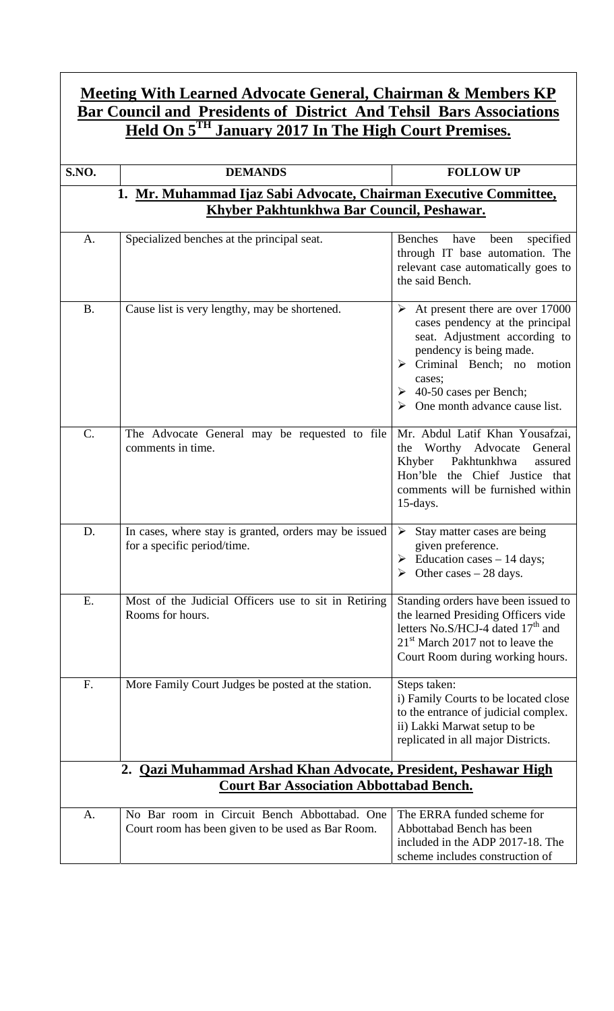## **Meeting With Learned Advocate General, Chairman & Members KP Bar Council and Presidents of District And Tehsil Bars Associations Held On 5TH January 2017 In The High Court Premises.**

| S.NO.     | <b>DEMANDS</b>                                                                                    | <b>FOLLOW UP</b>                                                                                                                                                                                                                                               |
|-----------|---------------------------------------------------------------------------------------------------|----------------------------------------------------------------------------------------------------------------------------------------------------------------------------------------------------------------------------------------------------------------|
|           | 1. Mr. Muhammad Ijaz Sabi Advocate, Chairman Executive Committee,                                 |                                                                                                                                                                                                                                                                |
|           | Khyber Pakhtunkhwa Bar Council, Peshawar.                                                         |                                                                                                                                                                                                                                                                |
| A.        | Specialized benches at the principal seat.                                                        | <b>Benches</b><br>specified<br>have<br>been<br>through IT base automation. The<br>relevant case automatically goes to<br>the said Bench.                                                                                                                       |
| <b>B.</b> | Cause list is very lengthy, may be shortened.                                                     | At present there are over 17000<br>➤<br>cases pendency at the principal<br>seat. Adjustment according to<br>pendency is being made.<br>$\triangleright$ Criminal Bench; no motion<br>cases;<br>$\geq 40$ -50 cases per Bench;<br>One month advance cause list. |
| C.        | The Advocate General may be requested to file<br>comments in time.                                | Mr. Abdul Latif Khan Yousafzai,<br>Worthy Advocate<br>the<br>General<br>Pakhtunkhwa<br>Khyber<br>assured<br>the Chief Justice that<br>Hon'ble<br>comments will be furnished within<br>15-days.                                                                 |
| D.        | In cases, where stay is granted, orders may be issued<br>for a specific period/time.              | Stay matter cases are being<br>➤<br>given preference.<br>$\triangleright$ Education cases – 14 days;<br>Other cases $-28$ days.                                                                                                                                |
| Ε.        | Most of the Judicial Officers use to sit in Retiring<br>Rooms for hours.                          | Standing orders have been issued to<br>the learned Presiding Officers vide<br>letters No.S/HCJ-4 dated 17 <sup>th</sup> and<br>$21st$ March 2017 not to leave the<br>Court Room during working hours.                                                          |
| F.        | More Family Court Judges be posted at the station.                                                | Steps taken:<br>i) Family Courts to be located close<br>to the entrance of judicial complex.<br>ii) Lakki Marwat setup to be<br>replicated in all major Districts.                                                                                             |
|           | 2. Qazi Muhammad Arshad Khan Advocate, President, Peshawar High                                   |                                                                                                                                                                                                                                                                |
|           | <b>Court Bar Association Abbottabad Bench.</b>                                                    |                                                                                                                                                                                                                                                                |
| A.        | No Bar room in Circuit Bench Abbottabad. One<br>Court room has been given to be used as Bar Room. | The ERRA funded scheme for<br>Abbottabad Bench has been<br>included in the ADP 2017-18. The<br>scheme includes construction of                                                                                                                                 |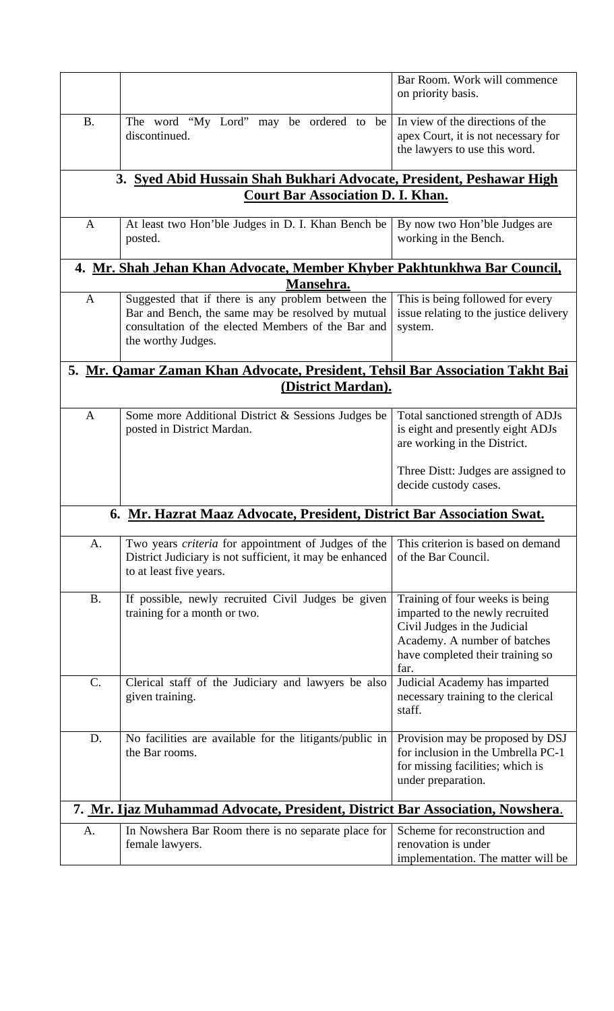|              |                                                                                                                                                                                     | Bar Room. Work will commence<br>on priority basis.                                                                                                                             |
|--------------|-------------------------------------------------------------------------------------------------------------------------------------------------------------------------------------|--------------------------------------------------------------------------------------------------------------------------------------------------------------------------------|
| <b>B.</b>    | The word "My Lord" may be ordered to be<br>discontinued.                                                                                                                            | In view of the directions of the<br>apex Court, it is not necessary for<br>the lawyers to use this word.                                                                       |
|              | 3. Syed Abid Hussain Shah Bukhari Advocate, President, Peshawar High                                                                                                                |                                                                                                                                                                                |
|              | <b>Court Bar Association D. I. Khan.</b>                                                                                                                                            |                                                                                                                                                                                |
| A            | At least two Hon'ble Judges in D. I. Khan Bench be<br>posted.                                                                                                                       | By now two Hon'ble Judges are<br>working in the Bench.                                                                                                                         |
|              | 4. Mr. Shah Jehan Khan Advocate, Member Khyber Pakhtunkhwa Bar Council,                                                                                                             |                                                                                                                                                                                |
|              | Mansehra.                                                                                                                                                                           |                                                                                                                                                                                |
| $\mathbf{A}$ | Suggested that if there is any problem between the<br>Bar and Bench, the same may be resolved by mutual<br>consultation of the elected Members of the Bar and<br>the worthy Judges. | This is being followed for every<br>issue relating to the justice delivery<br>system.                                                                                          |
|              | 5. Mr. Qamar Zaman Khan Advocate, President, Tehsil Bar Association Takht Bai                                                                                                       |                                                                                                                                                                                |
|              | <u>(District Mardan).</u>                                                                                                                                                           |                                                                                                                                                                                |
| $\mathbf{A}$ | Some more Additional District & Sessions Judges be<br>posted in District Mardan.                                                                                                    | Total sanctioned strength of ADJs<br>is eight and presently eight ADJs<br>are working in the District.                                                                         |
|              |                                                                                                                                                                                     | Three Distt: Judges are assigned to<br>decide custody cases.                                                                                                                   |
|              | 6. Mr. Hazrat Maaz Advocate, President, District Bar Association Swat.                                                                                                              |                                                                                                                                                                                |
| A.           | Two years <i>criteria</i> for appointment of Judges of the<br>District Judiciary is not sufficient, it may be enhanced<br>to at least five years.                                   | This criterion is based on demand<br>of the Bar Council.                                                                                                                       |
| <b>B.</b>    | If possible, newly recruited Civil Judges be given<br>training for a month or two.                                                                                                  | Training of four weeks is being<br>imparted to the newly recruited<br>Civil Judges in the Judicial<br>Academy. A number of batches<br>have completed their training so<br>far. |
| $C$ .        | Clerical staff of the Judiciary and lawyers be also<br>given training.                                                                                                              | Judicial Academy has imparted<br>necessary training to the clerical<br>staff.                                                                                                  |
| D.           | No facilities are available for the litigants/public in<br>the Bar rooms.                                                                                                           | Provision may be proposed by DSJ<br>for inclusion in the Umbrella PC-1<br>for missing facilities; which is<br>under preparation.                                               |
|              | 7. Mr. Ijaz Muhammad Advocate, President, District Bar Association, Nowshera.                                                                                                       |                                                                                                                                                                                |
| A.           | In Nowshera Bar Room there is no separate place for<br>female lawyers.                                                                                                              | Scheme for reconstruction and<br>renovation is under<br>implementation. The matter will be                                                                                     |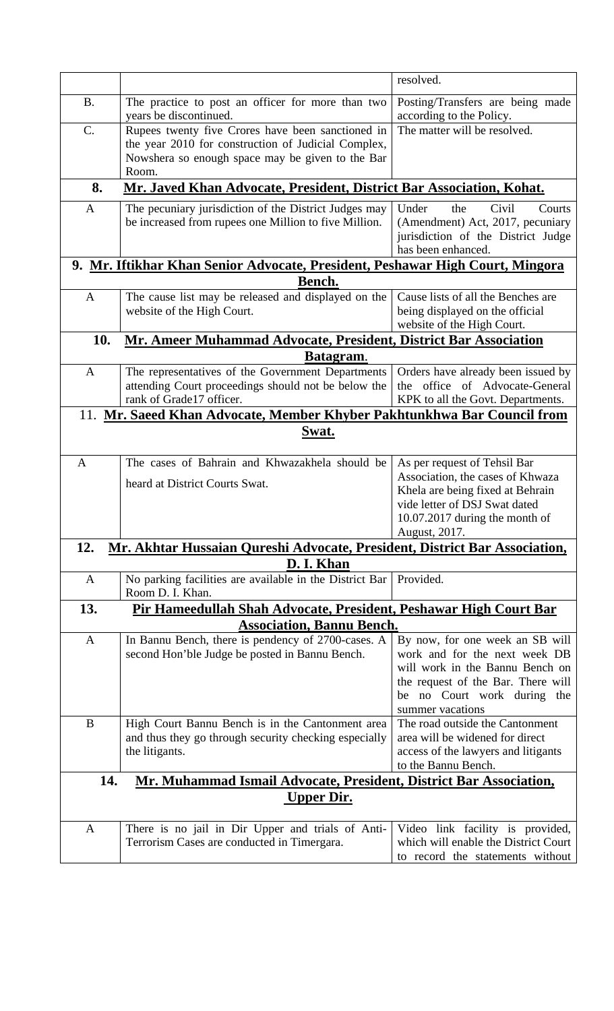|              |                                                                                                                                                                       | resolved.                                                                                                                                                                                    |
|--------------|-----------------------------------------------------------------------------------------------------------------------------------------------------------------------|----------------------------------------------------------------------------------------------------------------------------------------------------------------------------------------------|
| <b>B.</b>    | The practice to post an officer for more than two<br>years be discontinued.                                                                                           | Posting/Transfers are being made<br>according to the Policy.                                                                                                                                 |
| C.           | Rupees twenty five Crores have been sanctioned in<br>the year 2010 for construction of Judicial Complex,<br>Nowshera so enough space may be given to the Bar<br>Room. | The matter will be resolved.                                                                                                                                                                 |
| 8.           | Mr. Javed Khan Advocate, President, District Bar Association, Kohat.                                                                                                  |                                                                                                                                                                                              |
| A            | The pecuniary jurisdiction of the District Judges may<br>be increased from rupees one Million to five Million.                                                        | Under<br>Civil<br>Courts<br>the<br>(Amendment) Act, 2017, pecuniary<br>jurisdiction of the District Judge<br>has been enhanced.                                                              |
|              | 9. Mr. Iftikhar Khan Senior Advocate, President, Peshawar High Court, Mingora                                                                                         |                                                                                                                                                                                              |
|              | Bench.                                                                                                                                                                |                                                                                                                                                                                              |
| $\mathbf{A}$ | The cause list may be released and displayed on the<br>website of the High Court.                                                                                     | Cause lists of all the Benches are<br>being displayed on the official<br>website of the High Court.                                                                                          |
| 10.          | <b>Mr. Ameer Muhammad Advocate, President, District Bar Association</b>                                                                                               |                                                                                                                                                                                              |
|              | Batagram.                                                                                                                                                             |                                                                                                                                                                                              |
| $\mathbf{A}$ | The representatives of the Government Departments<br>attending Court proceedings should not be below the<br>rank of Grade17 officer.                                  | Orders have already been issued by<br>the office of Advocate-General<br>KPK to all the Govt. Departments.                                                                                    |
|              | 11. Mr. Saeed Khan Advocate, Member Khyber Pakhtunkhwa Bar Council from                                                                                               |                                                                                                                                                                                              |
|              | Swat.                                                                                                                                                                 |                                                                                                                                                                                              |
| $\mathbf{A}$ | The cases of Bahrain and Khwazakhela should be                                                                                                                        | As per request of Tehsil Bar                                                                                                                                                                 |
|              | heard at District Courts Swat.                                                                                                                                        | Association, the cases of Khwaza<br>Khela are being fixed at Behrain<br>vide letter of DSJ Swat dated<br>10.07.2017 during the month of<br>August, 2017.                                     |
| 12.          | Mr. Akhtar Hussaian Qureshi Advocate, President, District Bar Association,                                                                                            |                                                                                                                                                                                              |
|              | D. I. Khan                                                                                                                                                            |                                                                                                                                                                                              |
| A            | No parking facilities are available in the District Bar<br>Room D. I. Khan.                                                                                           | Provided.                                                                                                                                                                                    |
| 13.          | Pir Hameedullah Shah Advocate, President, Peshawar High Court Bar                                                                                                     |                                                                                                                                                                                              |
|              | <b>Association, Bannu Bench.</b>                                                                                                                                      |                                                                                                                                                                                              |
| $\mathbf{A}$ | In Bannu Bench, there is pendency of 2700-cases. A<br>second Hon'ble Judge be posted in Bannu Bench.                                                                  | By now, for one week an SB will<br>work and for the next week DB<br>will work in the Bannu Bench on<br>the request of the Bar. There will<br>be no Court work during the<br>summer vacations |
| B            | High Court Bannu Bench is in the Cantonment area<br>and thus they go through security checking especially<br>the litigants.                                           | The road outside the Cantonment<br>area will be widened for direct<br>access of the lawyers and litigants<br>to the Bannu Bench.                                                             |
| 14.          | Mr. Muhammad Ismail Advocate, President, District Bar Association,                                                                                                    |                                                                                                                                                                                              |
|              | <u>Upper Dir.</u>                                                                                                                                                     |                                                                                                                                                                                              |
| A            | There is no jail in Dir Upper and trials of Anti-<br>Terrorism Cases are conducted in Timergara.                                                                      | Video link facility is provided,<br>which will enable the District Court<br>to record the statements without                                                                                 |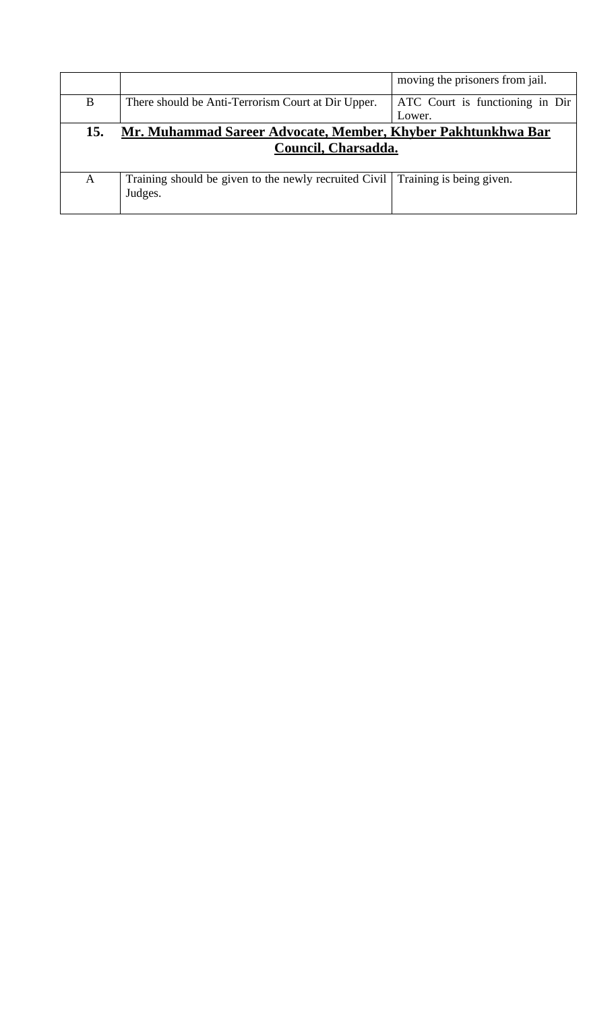|     |                                                                                | moving the prisoners from jail. |
|-----|--------------------------------------------------------------------------------|---------------------------------|
| B   | There should be Anti-Terrorism Court at Dir Upper.                             | ATC Court is functioning in Dir |
|     |                                                                                | Lower.                          |
| 15. | Mr. Muhammad Sareer Advocate, Member, Khyber Pakhtunkhwa Bar                   |                                 |
|     | Council, Charsadda.                                                            |                                 |
|     |                                                                                |                                 |
| A   | Training should be given to the newly recruited Civil Training is being given. |                                 |
|     | Judges.                                                                        |                                 |
|     |                                                                                |                                 |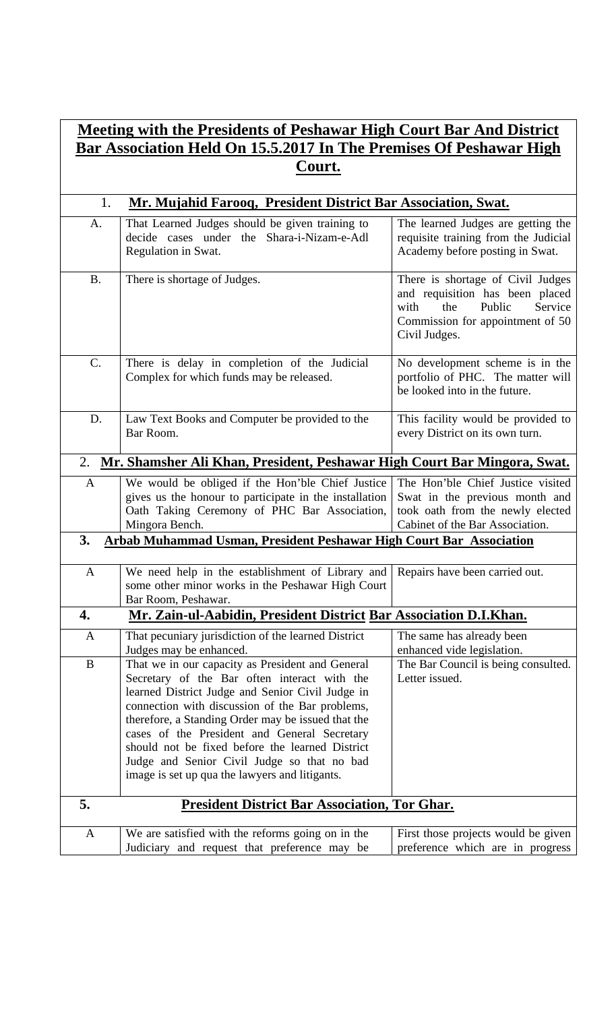## **Meeting with the Presidents of Peshawar High Court Bar And District Bar Association Held On 15.5.2017 In The Premises Of Peshawar High Court.**

| 1.           | Mr. Mujahid Farooq, President District Bar Association, Swat.                                                                                                                                                                                                                                                                                                                                                                                                     |                                                                                                                                                               |  |
|--------------|-------------------------------------------------------------------------------------------------------------------------------------------------------------------------------------------------------------------------------------------------------------------------------------------------------------------------------------------------------------------------------------------------------------------------------------------------------------------|---------------------------------------------------------------------------------------------------------------------------------------------------------------|--|
| A.           | That Learned Judges should be given training to<br>decide cases under the Shara-i-Nizam-e-Adl<br>Regulation in Swat.                                                                                                                                                                                                                                                                                                                                              | The learned Judges are getting the<br>requisite training from the Judicial<br>Academy before posting in Swat.                                                 |  |
| <b>B.</b>    | There is shortage of Judges.                                                                                                                                                                                                                                                                                                                                                                                                                                      | There is shortage of Civil Judges<br>and requisition has been placed<br>Public<br>Service<br>with<br>the<br>Commission for appointment of 50<br>Civil Judges. |  |
| C.           | There is delay in completion of the Judicial<br>Complex for which funds may be released.                                                                                                                                                                                                                                                                                                                                                                          | No development scheme is in the<br>portfolio of PHC. The matter will<br>be looked into in the future.                                                         |  |
| D.           | Law Text Books and Computer be provided to the<br>Bar Room.                                                                                                                                                                                                                                                                                                                                                                                                       | This facility would be provided to<br>every District on its own turn.                                                                                         |  |
| 2.           | Mr. Shamsher Ali Khan, President, Peshawar High Court Bar Mingora, Swat.                                                                                                                                                                                                                                                                                                                                                                                          |                                                                                                                                                               |  |
| $\mathbf{A}$ | We would be obliged if the Hon'ble Chief Justice<br>gives us the honour to participate in the installation<br>Oath Taking Ceremony of PHC Bar Association,<br>Mingora Bench.                                                                                                                                                                                                                                                                                      | The Hon'ble Chief Justice visited<br>Swat in the previous month and<br>took oath from the newly elected<br>Cabinet of the Bar Association.                    |  |
| 3.           | <b>Arbab Muhammad Usman, President Peshawar High Court Bar Association</b>                                                                                                                                                                                                                                                                                                                                                                                        |                                                                                                                                                               |  |
| $\mathbf{A}$ | We need help in the establishment of Library and<br>some other minor works in the Peshawar High Court<br>Bar Room, Peshawar.                                                                                                                                                                                                                                                                                                                                      | Repairs have been carried out.                                                                                                                                |  |
| 4.           | Mr. Zain-ul-Aabidin, President District Bar Association D.I.Khan.                                                                                                                                                                                                                                                                                                                                                                                                 |                                                                                                                                                               |  |
| A            | That pecuniary jurisdiction of the learned District<br>Judges may be enhanced.                                                                                                                                                                                                                                                                                                                                                                                    | The same has already been<br>enhanced vide legislation.                                                                                                       |  |
| B            | That we in our capacity as President and General<br>Secretary of the Bar often interact with the<br>learned District Judge and Senior Civil Judge in<br>connection with discussion of the Bar problems,<br>therefore, a Standing Order may be issued that the<br>cases of the President and General Secretary<br>should not be fixed before the learned District<br>Judge and Senior Civil Judge so that no bad<br>image is set up qua the lawyers and litigants. | The Bar Council is being consulted.<br>Letter issued.                                                                                                         |  |
| 5.           | <b>President District Bar Association, Tor Ghar.</b>                                                                                                                                                                                                                                                                                                                                                                                                              |                                                                                                                                                               |  |
| $\mathbf{A}$ | We are satisfied with the reforms going on in the<br>Judiciary and request that preference may be                                                                                                                                                                                                                                                                                                                                                                 | First those projects would be given<br>preference which are in progress                                                                                       |  |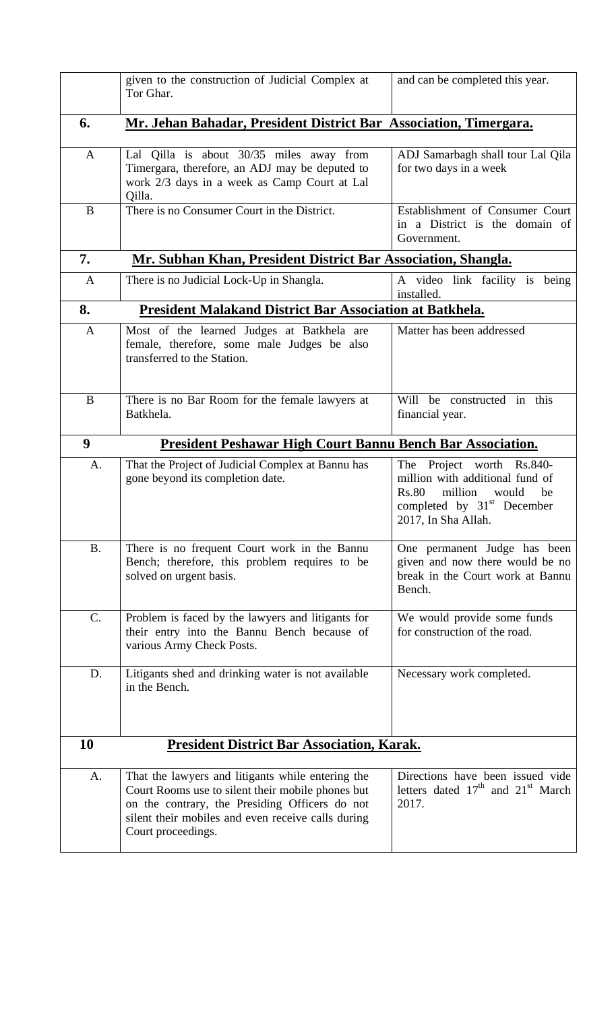|              | given to the construction of Judicial Complex at<br>Tor Ghar.                                                                                                                                                                        | and can be completed this year.                                                                                                                        |
|--------------|--------------------------------------------------------------------------------------------------------------------------------------------------------------------------------------------------------------------------------------|--------------------------------------------------------------------------------------------------------------------------------------------------------|
| 6.           | Mr. Jehan Bahadar, President District Bar Association, Timergara.                                                                                                                                                                    |                                                                                                                                                        |
| A            | Lal Qilla is about 30/35 miles away from<br>Timergara, therefore, an ADJ may be deputed to<br>work 2/3 days in a week as Camp Court at Lal<br>Qilla.                                                                                 | ADJ Samarbagh shall tour Lal Qila<br>for two days in a week                                                                                            |
| B            | There is no Consumer Court in the District.                                                                                                                                                                                          | Establishment of Consumer Court<br>in a District is the domain of<br>Government.                                                                       |
| 7.           | Mr. Subhan Khan, President District Bar Association, Shangla.                                                                                                                                                                        |                                                                                                                                                        |
| $\mathbf{A}$ | There is no Judicial Lock-Up in Shangla.                                                                                                                                                                                             | A video link facility is being<br>installed.                                                                                                           |
| 8.           | <b>President Malakand District Bar Association at Batkhela.</b>                                                                                                                                                                      |                                                                                                                                                        |
| $\mathbf{A}$ | Most of the learned Judges at Batkhela are<br>female, therefore, some male Judges be also<br>transferred to the Station.                                                                                                             | Matter has been addressed                                                                                                                              |
| B            | There is no Bar Room for the female lawyers at<br>Batkhela.                                                                                                                                                                          | Will be constructed in this<br>financial year.                                                                                                         |
| 9            | <b>President Peshawar High Court Bannu Bench Bar Association.</b>                                                                                                                                                                    |                                                                                                                                                        |
| A.           | That the Project of Judicial Complex at Bannu has<br>gone beyond its completion date.                                                                                                                                                | The Project worth Rs.840-<br>million with additional fund of<br>Rs.80<br>million<br>would<br>be<br>completed by $31st$ December<br>2017, In Sha Allah. |
| <b>B.</b>    | There is no frequent Court work in the Bannu<br>Bench; therefore, this problem requires to be<br>solved on urgent basis.                                                                                                             | One permanent Judge has been<br>given and now there would be no<br>break in the Court work at Bannu<br>Bench.                                          |
| C.           | Problem is faced by the lawyers and litigants for<br>their entry into the Bannu Bench because of<br>various Army Check Posts.                                                                                                        | We would provide some funds<br>for construction of the road.                                                                                           |
| D.           | Litigants shed and drinking water is not available<br>in the Bench.                                                                                                                                                                  | Necessary work completed.                                                                                                                              |
| 10           | <b>President District Bar Association, Karak.</b>                                                                                                                                                                                    |                                                                                                                                                        |
| A.           | That the lawyers and litigants while entering the<br>Court Rooms use to silent their mobile phones but<br>on the contrary, the Presiding Officers do not<br>silent their mobiles and even receive calls during<br>Court proceedings. | Directions have been issued vide<br>letters dated $17th$ and $21st$ March<br>2017.                                                                     |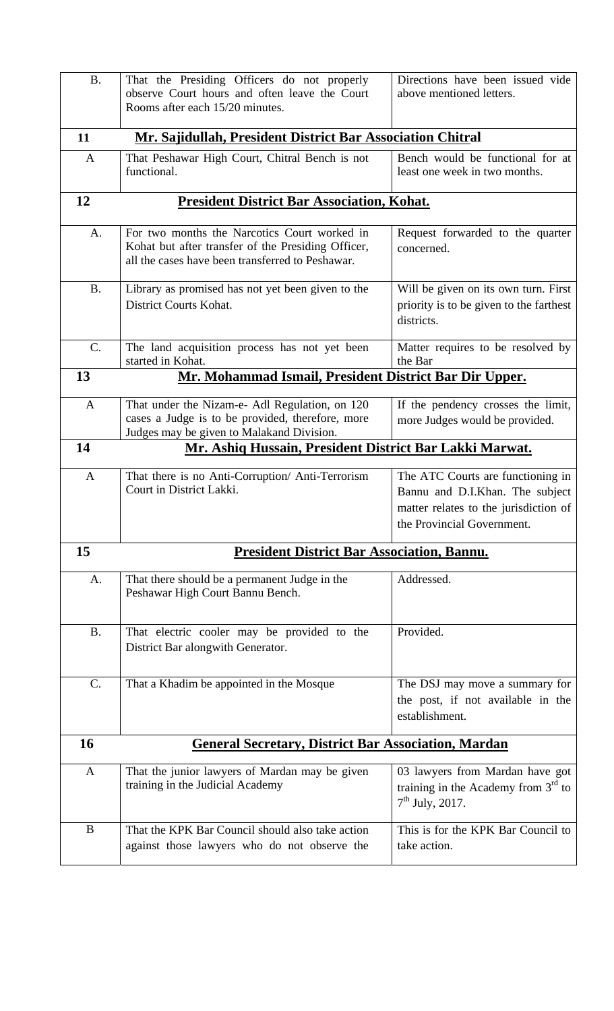| <b>B.</b>    | That the Presiding Officers do not properly<br>observe Court hours and often leave the Court<br>Rooms after each 15/20 minutes.                        | Directions have been issued vide<br>above mentioned letters.                                                                                |
|--------------|--------------------------------------------------------------------------------------------------------------------------------------------------------|---------------------------------------------------------------------------------------------------------------------------------------------|
| 11           | Mr. Sajidullah, President District Bar Association Chitral                                                                                             |                                                                                                                                             |
| $\mathbf{A}$ | That Peshawar High Court, Chitral Bench is not<br>functional.                                                                                          | Bench would be functional for at<br>least one week in two months.                                                                           |
| 12           | <b>President District Bar Association, Kohat.</b>                                                                                                      |                                                                                                                                             |
| A.           | For two months the Narcotics Court worked in<br>Kohat but after transfer of the Presiding Officer,<br>all the cases have been transferred to Peshawar. | Request forwarded to the quarter<br>concerned.                                                                                              |
| <b>B.</b>    | Library as promised has not yet been given to the<br>District Courts Kohat.                                                                            | Will be given on its own turn. First<br>priority is to be given to the farthest<br>districts.                                               |
| $C$ .        | The land acquisition process has not yet been<br>started in Kohat.                                                                                     | Matter requires to be resolved by<br>the Bar                                                                                                |
| 13           | Mr. Mohammad Ismail, President District Bar Dir Upper.                                                                                                 |                                                                                                                                             |
| $\mathbf{A}$ | That under the Nizam-e- Adl Regulation, on 120<br>cases a Judge is to be provided, therefore, more<br>Judges may be given to Malakand Division.        | If the pendency crosses the limit,<br>more Judges would be provided.                                                                        |
| 14           | <u>Mr. Ashiq Hussain, President District Bar Lakki Marwat.</u>                                                                                         |                                                                                                                                             |
| $\mathbf{A}$ | That there is no Anti-Corruption/ Anti-Terrorism<br>Court in District Lakki.                                                                           | The ATC Courts are functioning in<br>Bannu and D.I.Khan. The subject<br>matter relates to the jurisdiction of<br>the Provincial Government. |
| 15           | <b>President District Bar Association, Bannu.</b>                                                                                                      |                                                                                                                                             |
| A.           | That there should be a permanent Judge in the<br>Peshawar High Court Bannu Bench.                                                                      | Addressed.                                                                                                                                  |
| <b>B.</b>    | That electric cooler may be provided to the<br>District Bar alongwith Generator.                                                                       | Provided.                                                                                                                                   |
| C.           | That a Khadim be appointed in the Mosque                                                                                                               | The DSJ may move a summary for<br>the post, if not available in the<br>establishment.                                                       |
| 16           | <b>General Secretary, District Bar Association, Mardan</b>                                                                                             |                                                                                                                                             |
| $\mathbf{A}$ | That the junior lawyers of Mardan may be given<br>training in the Judicial Academy                                                                     | 03 lawyers from Mardan have got<br>training in the Academy from $3rd$ to<br>$7th$ July, 2017.                                               |
| B            | That the KPK Bar Council should also take action<br>against those lawyers who do not observe the                                                       | This is for the KPK Bar Council to<br>take action.                                                                                          |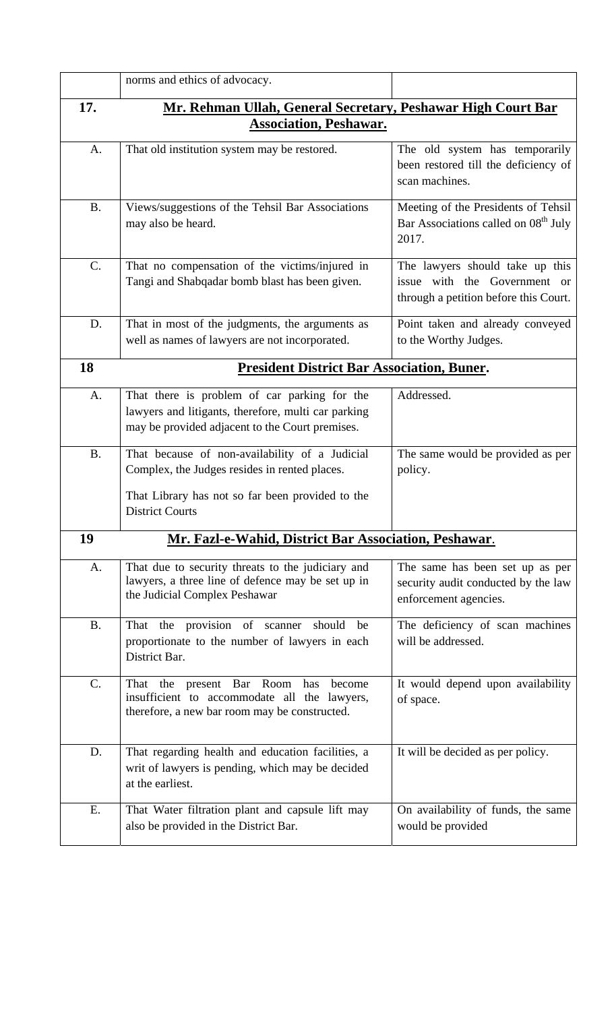|                 | norms and ethics of advocacy.                                                                                                                                                 |                                                                                                          |
|-----------------|-------------------------------------------------------------------------------------------------------------------------------------------------------------------------------|----------------------------------------------------------------------------------------------------------|
| 17.             | Mr. Rehman Ullah, General Secretary, Peshawar High Court Bar                                                                                                                  |                                                                                                          |
|                 | <b>Association, Peshawar.</b>                                                                                                                                                 |                                                                                                          |
| A.              | That old institution system may be restored.                                                                                                                                  | The old system has temporarily<br>been restored till the deficiency of<br>scan machines.                 |
| <b>B.</b>       | Views/suggestions of the Tehsil Bar Associations<br>may also be heard.                                                                                                        | Meeting of the Presidents of Tehsil<br>Bar Associations called on 08 <sup>th</sup> July<br>2017.         |
| $\mathcal{C}$ . | That no compensation of the victims/injured in<br>Tangi and Shabqadar bomb blast has been given.                                                                              | The lawyers should take up this<br>issue with the Government or<br>through a petition before this Court. |
| D.              | That in most of the judgments, the arguments as<br>well as names of lawyers are not incorporated.                                                                             | Point taken and already conveyed<br>to the Worthy Judges.                                                |
| 18              | <b>President District Bar Association, Buner.</b>                                                                                                                             |                                                                                                          |
| A.              | That there is problem of car parking for the<br>lawyers and litigants, therefore, multi car parking<br>may be provided adjacent to the Court premises.                        | Addressed.                                                                                               |
| B <sub>1</sub>  | That because of non-availability of a Judicial<br>Complex, the Judges resides in rented places.<br>That Library has not so far been provided to the<br><b>District Courts</b> | The same would be provided as per<br>policy.                                                             |
| 19              | Mr. Fazl-e-Wahid, District Bar Association, Peshawar.                                                                                                                         |                                                                                                          |
| A.              | That due to security threats to the judiciary and<br>lawyers, a three line of defence may be set up in<br>the Judicial Complex Peshawar                                       | The same has been set up as per<br>security audit conducted by the law<br>enforcement agencies.          |
| <b>B.</b>       | That the provision of scanner<br>should<br>be<br>proportionate to the number of lawyers in each<br>District Bar.                                                              | The deficiency of scan machines<br>will be addressed.                                                    |
| C.              | That the present Bar Room<br>has<br>become<br>insufficient to accommodate all the lawyers,<br>therefore, a new bar room may be constructed.                                   | It would depend upon availability<br>of space.                                                           |
| D.              | That regarding health and education facilities, a<br>writ of lawyers is pending, which may be decided<br>at the earliest.                                                     | It will be decided as per policy.                                                                        |
| E.              | That Water filtration plant and capsule lift may<br>also be provided in the District Bar.                                                                                     | On availability of funds, the same<br>would be provided                                                  |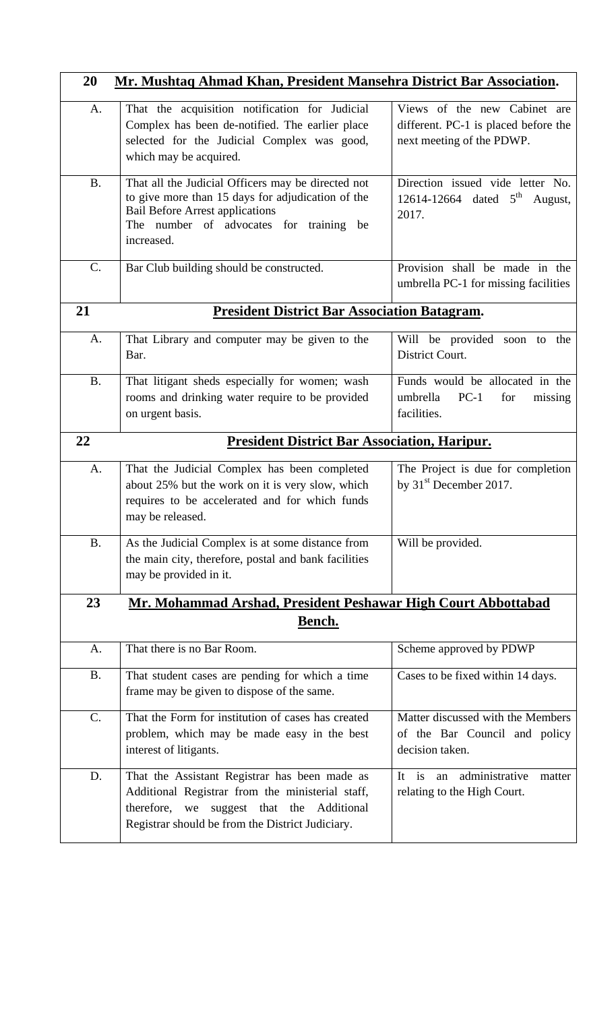| 20<br>Mr. Mushtaq Ahmad Khan, President Mansehra District Bar Association. |                                                                                                                                                                                                            |                                                                                                   |
|----------------------------------------------------------------------------|------------------------------------------------------------------------------------------------------------------------------------------------------------------------------------------------------------|---------------------------------------------------------------------------------------------------|
| A.                                                                         | That the acquisition notification for Judicial<br>Complex has been de-notified. The earlier place<br>selected for the Judicial Complex was good,<br>which may be acquired.                                 | Views of the new Cabinet are<br>different. PC-1 is placed before the<br>next meeting of the PDWP. |
| <b>B.</b>                                                                  | That all the Judicial Officers may be directed not<br>to give more than 15 days for adjudication of the<br><b>Bail Before Arrest applications</b><br>The number of advocates for training be<br>increased. | Direction issued vide letter No.<br>12614-12664 dated $5^{\text{th}}$<br>August,<br>2017.         |
| $C$ .                                                                      | Bar Club building should be constructed.                                                                                                                                                                   | Provision shall be made in the<br>umbrella PC-1 for missing facilities                            |
| 21                                                                         | <b>President District Bar Association Batagram.</b>                                                                                                                                                        |                                                                                                   |
| A.                                                                         | That Library and computer may be given to the<br>Bar.                                                                                                                                                      | Will be provided soon to the<br>District Court.                                                   |
| <b>B.</b>                                                                  | That litigant sheds especially for women; wash<br>rooms and drinking water require to be provided<br>on urgent basis.                                                                                      | Funds would be allocated in the<br>$PC-1$<br>umbrella<br>for<br>missing<br>facilities.            |
| 22                                                                         | <b>President District Bar Association, Haripur.</b>                                                                                                                                                        |                                                                                                   |
| A.                                                                         | That the Judicial Complex has been completed<br>about 25% but the work on it is very slow, which<br>requires to be accelerated and for which funds<br>may be released.                                     | The Project is due for completion<br>by 31 <sup>st</sup> December 2017.                           |
| <b>B.</b>                                                                  | As the Judicial Complex is at some distance from<br>the main city, therefore, postal and bank facilities<br>may be provided in it.                                                                         | Will be provided.                                                                                 |
| 23                                                                         | Mr. Mohammad Arshad, President Peshawar High Court Abbottabad                                                                                                                                              |                                                                                                   |
|                                                                            | Bench.                                                                                                                                                                                                     |                                                                                                   |
| A.                                                                         | That there is no Bar Room.                                                                                                                                                                                 | Scheme approved by PDWP                                                                           |
| <b>B.</b>                                                                  | That student cases are pending for which a time<br>frame may be given to dispose of the same.                                                                                                              | Cases to be fixed within 14 days.                                                                 |
| $C$ .                                                                      | That the Form for institution of cases has created<br>problem, which may be made easy in the best<br>interest of litigants.                                                                                | Matter discussed with the Members<br>of the Bar Council and policy<br>decision taken.             |
| D.                                                                         | That the Assistant Registrar has been made as<br>Additional Registrar from the ministerial staff,<br>therefore, we<br>suggest that the Additional<br>Registrar should be from the District Judiciary.      | administrative<br>It is<br>matter<br>an<br>relating to the High Court.                            |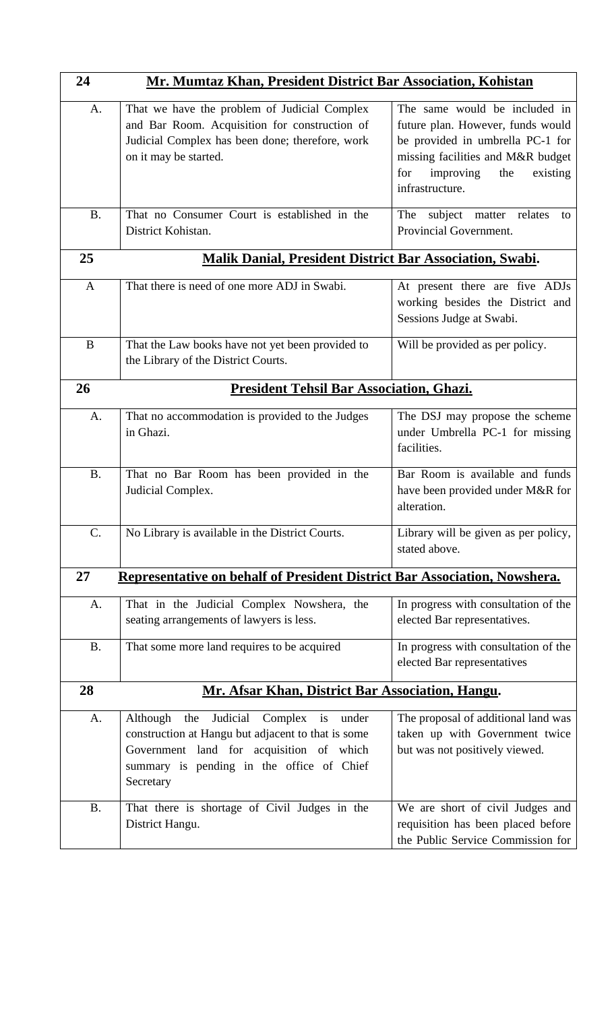| 24        | Mr. Mumtaz Khan, President District Bar Association, Kohistan                                                                                                                                                        |                                                                                                                                                                                                       |
|-----------|----------------------------------------------------------------------------------------------------------------------------------------------------------------------------------------------------------------------|-------------------------------------------------------------------------------------------------------------------------------------------------------------------------------------------------------|
| A.        | That we have the problem of Judicial Complex<br>and Bar Room. Acquisition for construction of<br>Judicial Complex has been done; therefore, work<br>on it may be started.                                            | The same would be included in<br>future plan. However, funds would<br>be provided in umbrella PC-1 for<br>missing facilities and M&R budget<br>improving<br>for<br>the<br>existing<br>infrastructure. |
| <b>B.</b> | That no Consumer Court is established in the<br>District Kohistan.                                                                                                                                                   | subject matter relates<br>The<br>to<br>Provincial Government.                                                                                                                                         |
| 25        | <b>Malik Danial, President District Bar Association, Swabi.</b>                                                                                                                                                      |                                                                                                                                                                                                       |
| A         | That there is need of one more ADJ in Swabi.                                                                                                                                                                         | At present there are five ADJs<br>working besides the District and<br>Sessions Judge at Swabi.                                                                                                        |
| B         | That the Law books have not yet been provided to<br>the Library of the District Courts.                                                                                                                              | Will be provided as per policy.                                                                                                                                                                       |
| 26        | <b>President Tehsil Bar Association, Ghazi.</b>                                                                                                                                                                      |                                                                                                                                                                                                       |
| A.        | That no accommodation is provided to the Judges<br>in Ghazi.                                                                                                                                                         | The DSJ may propose the scheme<br>under Umbrella PC-1 for missing<br>facilities.                                                                                                                      |
| <b>B.</b> | That no Bar Room has been provided in the<br>Judicial Complex.                                                                                                                                                       | Bar Room is available and funds<br>have been provided under M&R for<br>alteration.                                                                                                                    |
| C.        | No Library is available in the District Courts.                                                                                                                                                                      | Library will be given as per policy,<br>stated above.                                                                                                                                                 |
| 27        | Representative on behalf of President District Bar Association, Nowshera.                                                                                                                                            |                                                                                                                                                                                                       |
| A.        | That in the Judicial Complex Nowshera, the<br>seating arrangements of lawyers is less.                                                                                                                               | In progress with consultation of the<br>elected Bar representatives.                                                                                                                                  |
| <b>B.</b> | That some more land requires to be acquired                                                                                                                                                                          | In progress with consultation of the<br>elected Bar representatives                                                                                                                                   |
| 28        | Mr. Afsar Khan, District Bar Association, Hangu.                                                                                                                                                                     |                                                                                                                                                                                                       |
| A.        | Although the Judicial Complex<br>i <sub>s</sub><br>under<br>construction at Hangu but adjacent to that is some<br>Government land for acquisition of which<br>summary is pending in the office of Chief<br>Secretary | The proposal of additional land was<br>taken up with Government twice<br>but was not positively viewed.                                                                                               |
| <b>B.</b> | That there is shortage of Civil Judges in the<br>District Hangu.                                                                                                                                                     | We are short of civil Judges and<br>requisition has been placed before<br>the Public Service Commission for                                                                                           |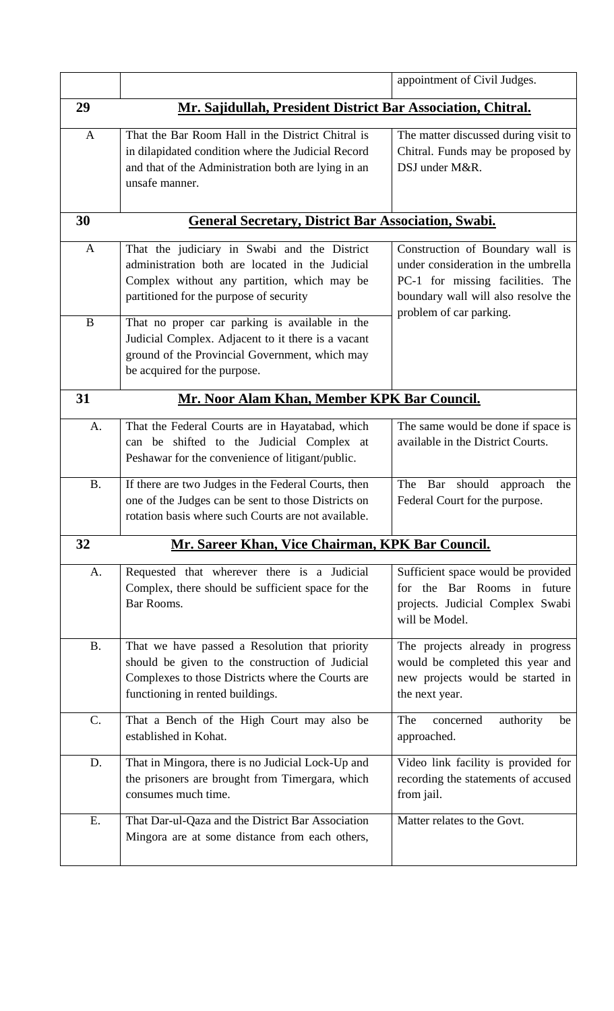|              |                                                                                                                                                                                            | appointment of Civil Judges.                                                                                                                                                  |
|--------------|--------------------------------------------------------------------------------------------------------------------------------------------------------------------------------------------|-------------------------------------------------------------------------------------------------------------------------------------------------------------------------------|
| 29           | Mr. Sajidullah, President District Bar Association, Chitral.                                                                                                                               |                                                                                                                                                                               |
| $\mathbf{A}$ | That the Bar Room Hall in the District Chitral is<br>in dilapidated condition where the Judicial Record<br>and that of the Administration both are lying in an<br>unsafe manner.           | The matter discussed during visit to<br>Chitral. Funds may be proposed by<br>DSJ under M&R.                                                                                   |
| 30           | <b>General Secretary, District Bar Association, Swabi.</b>                                                                                                                                 |                                                                                                                                                                               |
| A            | That the judiciary in Swabi and the District<br>administration both are located in the Judicial<br>Complex without any partition, which may be<br>partitioned for the purpose of security  | Construction of Boundary wall is<br>under consideration in the umbrella<br>PC-1 for missing facilities. The<br>boundary wall will also resolve the<br>problem of car parking. |
| $\bf{B}$     | That no proper car parking is available in the<br>Judicial Complex. Adjacent to it there is a vacant<br>ground of the Provincial Government, which may<br>be acquired for the purpose.     |                                                                                                                                                                               |
| 31           | Mr. Noor Alam Khan, Member KPK Bar Council.                                                                                                                                                |                                                                                                                                                                               |
| A.           | That the Federal Courts are in Hayatabad, which<br>can be shifted to the Judicial Complex at<br>Peshawar for the convenience of litigant/public.                                           | The same would be done if space is<br>available in the District Courts.                                                                                                       |
| <b>B.</b>    | If there are two Judges in the Federal Courts, then<br>one of the Judges can be sent to those Districts on<br>rotation basis where such Courts are not available.                          | The<br>should<br>Bar<br>approach<br>the<br>Federal Court for the purpose.                                                                                                     |
| 32           | <b>Mr. Sareer Khan, Vice Chairman, KPK Bar Council.</b>                                                                                                                                    |                                                                                                                                                                               |
| A.           | Requested that wherever there is a Judicial<br>Complex, there should be sufficient space for the<br>Bar Rooms.                                                                             | Sufficient space would be provided<br>for the Bar Rooms in future<br>projects. Judicial Complex Swabi<br>will be Model.                                                       |
| <b>B.</b>    | That we have passed a Resolution that priority<br>should be given to the construction of Judicial<br>Complexes to those Districts where the Courts are<br>functioning in rented buildings. | The projects already in progress<br>would be completed this year and<br>new projects would be started in<br>the next year.                                                    |
| C.           | That a Bench of the High Court may also be<br>established in Kohat.                                                                                                                        | The<br>concerned<br>authority<br>be<br>approached.                                                                                                                            |
| D.           | That in Mingora, there is no Judicial Lock-Up and<br>the prisoners are brought from Timergara, which<br>consumes much time.                                                                | Video link facility is provided for<br>recording the statements of accused<br>from jail.                                                                                      |
| E.           | That Dar-ul-Qaza and the District Bar Association<br>Mingora are at some distance from each others,                                                                                        | Matter relates to the Govt.                                                                                                                                                   |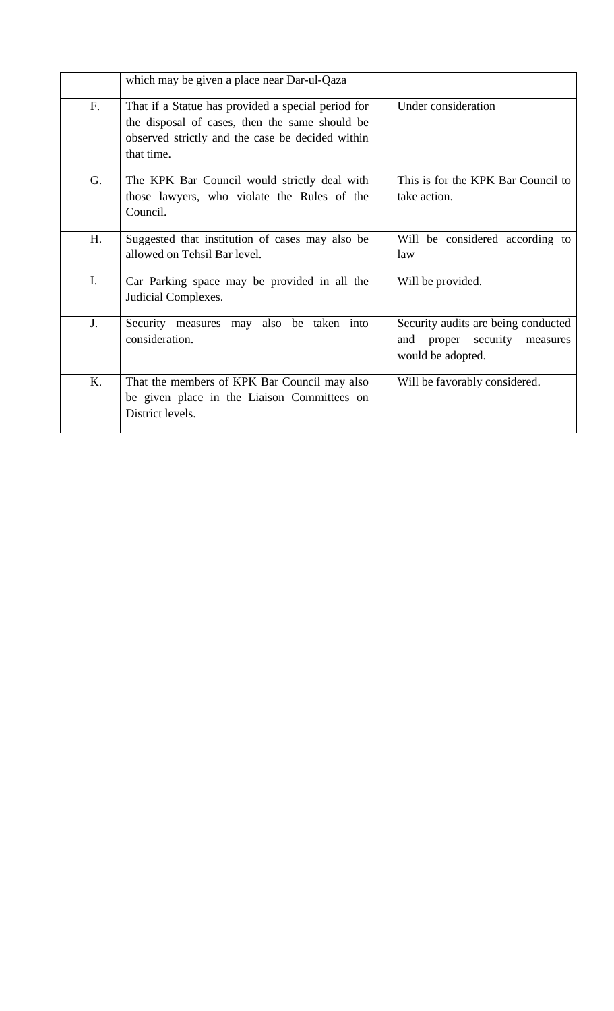|                | which may be given a place near Dar-ul-Qaza                                                                                                                            |                                                                                                |
|----------------|------------------------------------------------------------------------------------------------------------------------------------------------------------------------|------------------------------------------------------------------------------------------------|
| F.             | That if a Statue has provided a special period for<br>the disposal of cases, then the same should be<br>observed strictly and the case be decided within<br>that time. | Under consideration                                                                            |
| G.             | The KPK Bar Council would strictly deal with<br>those lawyers, who violate the Rules of the<br>Council.                                                                | This is for the KPK Bar Council to<br>take action.                                             |
| H.             | Suggested that institution of cases may also be<br>allowed on Tehsil Bar level.                                                                                        | Will be considered according to<br>law                                                         |
| $\mathbf{I}$ . | Car Parking space may be provided in all the<br>Judicial Complexes.                                                                                                    | Will be provided.                                                                              |
| J.             | also be taken into<br>Security measures may<br>consideration.                                                                                                          | Security audits are being conducted<br>and proper<br>security<br>measures<br>would be adopted. |
| K.             | That the members of KPK Bar Council may also<br>be given place in the Liaison Committees on<br>District levels.                                                        | Will be favorably considered.                                                                  |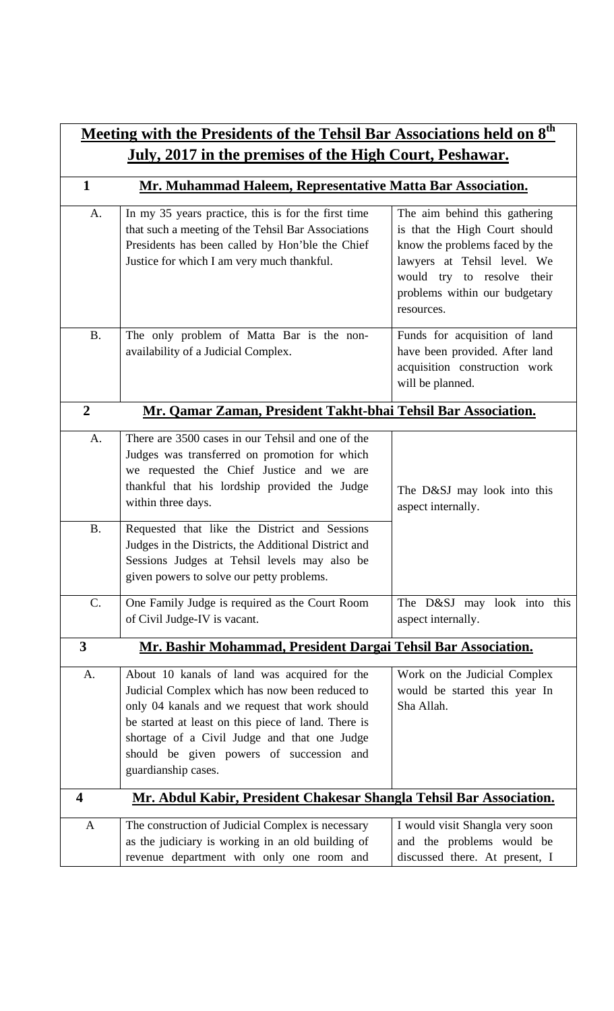| Meeting with the Presidents of the Tehsil Bar Associations held on 8 <sup>th</sup> |                                                                                                                                                                                                                                                                                                                            |                                                                                                                                                                                                              |
|------------------------------------------------------------------------------------|----------------------------------------------------------------------------------------------------------------------------------------------------------------------------------------------------------------------------------------------------------------------------------------------------------------------------|--------------------------------------------------------------------------------------------------------------------------------------------------------------------------------------------------------------|
| <u>July, 2017 in the premises of the High Court, Peshawar.</u>                     |                                                                                                                                                                                                                                                                                                                            |                                                                                                                                                                                                              |
| $\mathbf{1}$                                                                       | Mr. Muhammad Haleem, Representative Matta Bar Association.                                                                                                                                                                                                                                                                 |                                                                                                                                                                                                              |
| A.                                                                                 | In my 35 years practice, this is for the first time<br>that such a meeting of the Tehsil Bar Associations<br>Presidents has been called by Hon'ble the Chief<br>Justice for which I am very much thankful.                                                                                                                 | The aim behind this gathering<br>is that the High Court should<br>know the problems faced by the<br>lawyers at Tehsil level. We<br>would try to resolve their<br>problems within our budgetary<br>resources. |
| <b>B.</b>                                                                          | The only problem of Matta Bar is the non-<br>availability of a Judicial Complex.                                                                                                                                                                                                                                           | Funds for acquisition of land<br>have been provided. After land<br>acquisition construction work<br>will be planned.                                                                                         |
| $\boldsymbol{2}$                                                                   | Mr. Qamar Zaman, President Takht-bhai Tehsil Bar Association.                                                                                                                                                                                                                                                              |                                                                                                                                                                                                              |
| A.<br>B <sub>1</sub>                                                               | There are 3500 cases in our Tehsil and one of the<br>Judges was transferred on promotion for which<br>we requested the Chief Justice and we are<br>thankful that his lordship provided the Judge<br>within three days.<br>Requested that like the District and Sessions                                                    | The D&SJ may look into this<br>aspect internally.                                                                                                                                                            |
|                                                                                    | Judges in the Districts, the Additional District and<br>Sessions Judges at Tehsil levels may also be<br>given powers to solve our petty problems.                                                                                                                                                                          |                                                                                                                                                                                                              |
| C.                                                                                 | One Family Judge is required as the Court Room<br>of Civil Judge-IV is vacant.                                                                                                                                                                                                                                             | The D&SJ may look into this<br>aspect internally.                                                                                                                                                            |
| $\overline{\mathbf{3}}$                                                            | Mr. Bashir Mohammad, President Dargai Tehsil Bar Association.                                                                                                                                                                                                                                                              |                                                                                                                                                                                                              |
| A.                                                                                 | About 10 kanals of land was acquired for the<br>Judicial Complex which has now been reduced to<br>only 04 kanals and we request that work should<br>be started at least on this piece of land. There is<br>shortage of a Civil Judge and that one Judge<br>should be given powers of succession and<br>guardianship cases. | Work on the Judicial Complex<br>would be started this year In<br>Sha Allah.                                                                                                                                  |
| $\overline{\mathbf{4}}$                                                            | Mr. Abdul Kabir, President Chakesar Shangla Tehsil Bar Association.                                                                                                                                                                                                                                                        |                                                                                                                                                                                                              |
| $\mathbf{A}$                                                                       | The construction of Judicial Complex is necessary<br>as the judiciary is working in an old building of<br>revenue department with only one room and                                                                                                                                                                        | I would visit Shangla very soon<br>and the problems would be<br>discussed there. At present, I                                                                                                               |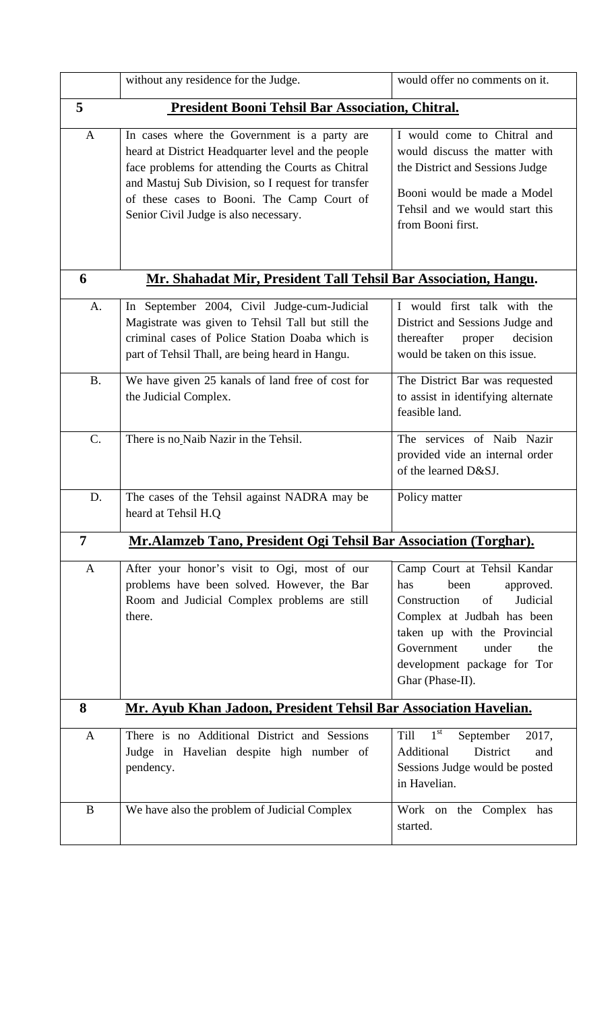|              | without any residence for the Judge.                                                                                                                                                                                                                                                                 | would offer no comments on it.                                                                                                                                                                                                           |
|--------------|------------------------------------------------------------------------------------------------------------------------------------------------------------------------------------------------------------------------------------------------------------------------------------------------------|------------------------------------------------------------------------------------------------------------------------------------------------------------------------------------------------------------------------------------------|
| 5            | President Booni Tehsil Bar Association, Chitral.                                                                                                                                                                                                                                                     |                                                                                                                                                                                                                                          |
| $\mathbf{A}$ | In cases where the Government is a party are<br>heard at District Headquarter level and the people<br>face problems for attending the Courts as Chitral<br>and Mastuj Sub Division, so I request for transfer<br>of these cases to Booni. The Camp Court of<br>Senior Civil Judge is also necessary. | I would come to Chitral and<br>would discuss the matter with<br>the District and Sessions Judge<br>Booni would be made a Model<br>Tehsil and we would start this<br>from Booni first.                                                    |
| 6            | Mr. Shahadat Mir, President Tall Tehsil Bar Association, Hangu.                                                                                                                                                                                                                                      |                                                                                                                                                                                                                                          |
| A.           | In September 2004, Civil Judge-cum-Judicial<br>Magistrate was given to Tehsil Tall but still the<br>criminal cases of Police Station Doaba which is<br>part of Tehsil Thall, are being heard in Hangu.                                                                                               | I would first talk with the<br>District and Sessions Judge and<br>thereafter<br>decision<br>proper<br>would be taken on this issue.                                                                                                      |
| <b>B.</b>    | We have given 25 kanals of land free of cost for<br>the Judicial Complex.                                                                                                                                                                                                                            | The District Bar was requested<br>to assist in identifying alternate<br>feasible land.                                                                                                                                                   |
| $C$ .        | There is no Naib Nazir in the Tehsil.                                                                                                                                                                                                                                                                | The services of Naib Nazir<br>provided vide an internal order<br>of the learned D&SJ.                                                                                                                                                    |
| D.           | The cases of the Tehsil against NADRA may be<br>heard at Tehsil H.Q                                                                                                                                                                                                                                  | Policy matter                                                                                                                                                                                                                            |
| 7            | <u>Mr.Alamzeb Tano, President Ogi Tehsil Bar Association (Torghar).</u>                                                                                                                                                                                                                              |                                                                                                                                                                                                                                          |
| $\mathbf{A}$ | After your honor's visit to Ogi, most of our<br>problems have been solved. However, the Bar<br>Room and Judicial Complex problems are still<br>there.                                                                                                                                                | Camp Court at Tehsil Kandar<br>has<br>been<br>approved.<br>Judicial<br>Construction<br>of<br>Complex at Judbah has been<br>taken up with the Provincial<br>Government<br>under<br>the<br>development package for Tor<br>Ghar (Phase-II). |
| 8            | Mr. Ayub Khan Jadoon, President Tehsil Bar Association Havelian.                                                                                                                                                                                                                                     |                                                                                                                                                                                                                                          |
| A            | There is no Additional District and Sessions<br>Judge in Havelian despite high number of<br>pendency.                                                                                                                                                                                                | $1^{\overline{\text{st}}}$<br>September<br>Till<br>2017,<br>Additional<br>District<br>and<br>Sessions Judge would be posted<br>in Havelian.                                                                                              |
| B            | We have also the problem of Judicial Complex                                                                                                                                                                                                                                                         | Work on the Complex has<br>started.                                                                                                                                                                                                      |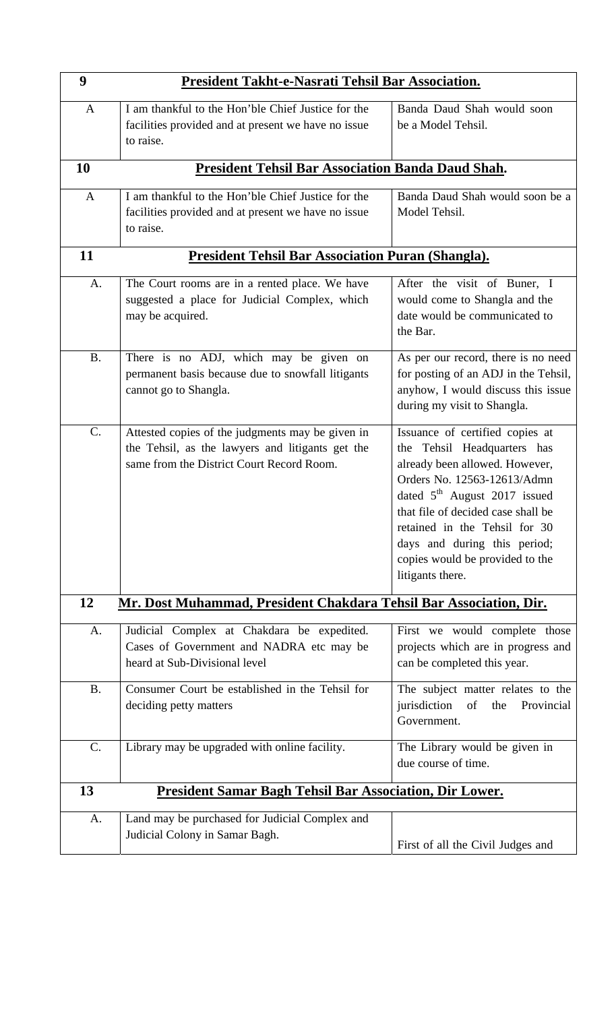| 9               | President Takht-e-Nasrati Tehsil Bar Association.                                                                                                 |                                                                                                                                                                                                                                                                                                                                 |
|-----------------|---------------------------------------------------------------------------------------------------------------------------------------------------|---------------------------------------------------------------------------------------------------------------------------------------------------------------------------------------------------------------------------------------------------------------------------------------------------------------------------------|
| $\mathbf{A}$    | I am thankful to the Hon'ble Chief Justice for the<br>facilities provided and at present we have no issue<br>to raise.                            | Banda Daud Shah would soon<br>be a Model Tehsil.                                                                                                                                                                                                                                                                                |
| 10              | <b>President Tehsil Bar Association Banda Daud Shah.</b>                                                                                          |                                                                                                                                                                                                                                                                                                                                 |
| $\mathbf{A}$    | I am thankful to the Hon'ble Chief Justice for the<br>facilities provided and at present we have no issue<br>to raise.                            | Banda Daud Shah would soon be a<br>Model Tehsil.                                                                                                                                                                                                                                                                                |
| 11              | <b>President Tehsil Bar Association Puran (Shangla).</b>                                                                                          |                                                                                                                                                                                                                                                                                                                                 |
| A.              | The Court rooms are in a rented place. We have<br>suggested a place for Judicial Complex, which<br>may be acquired.                               | After the visit of Buner, I<br>would come to Shangla and the<br>date would be communicated to<br>the Bar.                                                                                                                                                                                                                       |
| <b>B.</b>       | There is no ADJ, which may be given on<br>permanent basis because due to snowfall litigants<br>cannot go to Shangla.                              | As per our record, there is no need<br>for posting of an ADJ in the Tehsil,<br>anyhow, I would discuss this issue<br>during my visit to Shangla.                                                                                                                                                                                |
| C.              | Attested copies of the judgments may be given in<br>the Tehsil, as the lawyers and litigants get the<br>same from the District Court Record Room. | Issuance of certified copies at<br>the Tehsil Headquarters has<br>already been allowed. However,<br>Orders No. 12563-12613/Admn<br>dated $5th$ August 2017 issued<br>that file of decided case shall be<br>retained in the Tehsil for 30<br>days and during this period;<br>copies would be provided to the<br>litigants there. |
| 12              | Mr. Dost Muhammad, President Chakdara Tehsil Bar Association, Dir.                                                                                |                                                                                                                                                                                                                                                                                                                                 |
| A.              | Judicial Complex at Chakdara be expedited.<br>Cases of Government and NADRA etc may be<br>heard at Sub-Divisional level                           | First we would complete those<br>projects which are in progress and<br>can be completed this year.                                                                                                                                                                                                                              |
| <b>B.</b>       | Consumer Court be established in the Tehsil for<br>deciding petty matters                                                                         | The subject matter relates to the<br>jurisdiction<br>of<br>the<br>Provincial<br>Government.                                                                                                                                                                                                                                     |
| $\mathcal{C}$ . | Library may be upgraded with online facility.                                                                                                     | The Library would be given in<br>due course of time.                                                                                                                                                                                                                                                                            |
| 13              | <b>President Samar Bagh Tehsil Bar Association, Dir Lower.</b>                                                                                    |                                                                                                                                                                                                                                                                                                                                 |
| A.              | Land may be purchased for Judicial Complex and<br>Judicial Colony in Samar Bagh.                                                                  | First of all the Civil Judges and                                                                                                                                                                                                                                                                                               |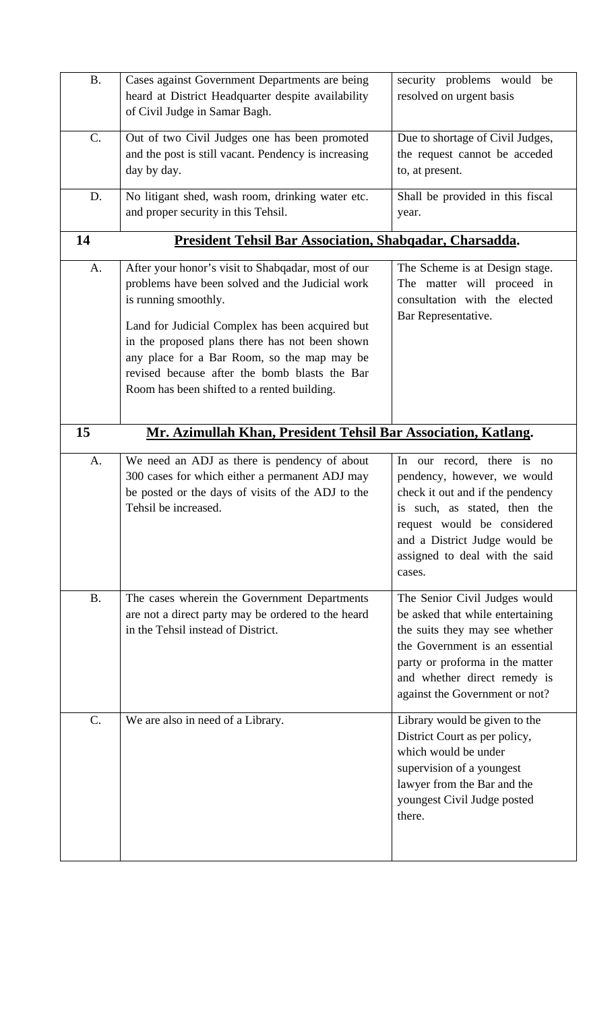| <b>B.</b> | Cases against Government Departments are being<br>heard at District Headquarter despite availability<br>of Civil Judge in Samar Bagh.                                                                                                                                                                                                                                             | security problems would be<br>resolved on urgent basis                                                                                                                                                                                     |
|-----------|-----------------------------------------------------------------------------------------------------------------------------------------------------------------------------------------------------------------------------------------------------------------------------------------------------------------------------------------------------------------------------------|--------------------------------------------------------------------------------------------------------------------------------------------------------------------------------------------------------------------------------------------|
| C.        | Out of two Civil Judges one has been promoted<br>and the post is still vacant. Pendency is increasing<br>day by day.                                                                                                                                                                                                                                                              | Due to shortage of Civil Judges,<br>the request cannot be acceded<br>to, at present.                                                                                                                                                       |
| D.        | No litigant shed, wash room, drinking water etc.<br>and proper security in this Tehsil.                                                                                                                                                                                                                                                                                           | Shall be provided in this fiscal<br>year.                                                                                                                                                                                                  |
| 14        | <b>President Tehsil Bar Association, Shabqadar, Charsadda.</b>                                                                                                                                                                                                                                                                                                                    |                                                                                                                                                                                                                                            |
| A.        | After your honor's visit to Shabqadar, most of our<br>problems have been solved and the Judicial work<br>is running smoothly.<br>Land for Judicial Complex has been acquired but<br>in the proposed plans there has not been shown<br>any place for a Bar Room, so the map may be<br>revised because after the bomb blasts the Bar<br>Room has been shifted to a rented building. | The Scheme is at Design stage.<br>The matter will proceed in<br>consultation with the elected<br>Bar Representative.                                                                                                                       |
| 15        | Mr. Azimullah Khan, President Tehsil Bar Association, Katlang.                                                                                                                                                                                                                                                                                                                    |                                                                                                                                                                                                                                            |
| A.        | We need an ADJ as there is pendency of about<br>300 cases for which either a permanent ADJ may<br>be posted or the days of visits of the ADJ to the<br>Tehsil be increased.                                                                                                                                                                                                       | In our record, there is no<br>pendency, however, we would<br>check it out and if the pendency<br>is such, as stated, then the<br>request would be considered<br>and a District Judge would be<br>assigned to deal with the said<br>cases.  |
| <b>B.</b> | The cases wherein the Government Departments<br>are not a direct party may be ordered to the heard<br>in the Tehsil instead of District.                                                                                                                                                                                                                                          | The Senior Civil Judges would<br>be asked that while entertaining<br>the suits they may see whether<br>the Government is an essential<br>party or proforma in the matter<br>and whether direct remedy is<br>against the Government or not? |
| C.        | We are also in need of a Library.                                                                                                                                                                                                                                                                                                                                                 | Library would be given to the<br>District Court as per policy,<br>which would be under<br>supervision of a youngest<br>lawyer from the Bar and the<br>youngest Civil Judge posted<br>there.                                                |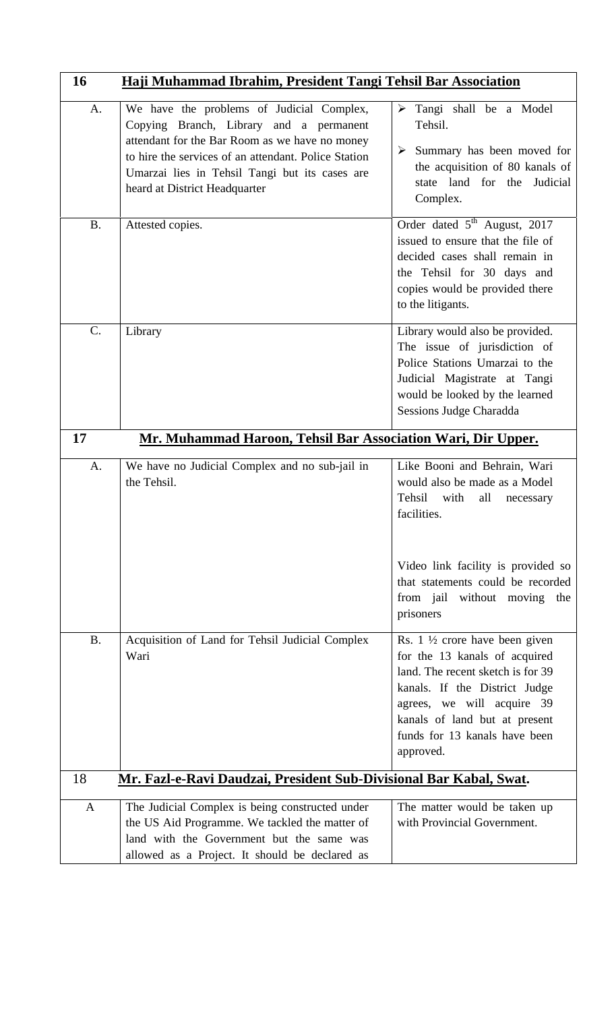| 16              | Haji Muhammad Ibrahim, President Tangi Tehsil Bar Association                                                                                                                                                                                                                     |                                                                                                                                                                                                                                                               |
|-----------------|-----------------------------------------------------------------------------------------------------------------------------------------------------------------------------------------------------------------------------------------------------------------------------------|---------------------------------------------------------------------------------------------------------------------------------------------------------------------------------------------------------------------------------------------------------------|
| A.              | We have the problems of Judicial Complex,<br>Copying Branch, Library and a permanent<br>attendant for the Bar Room as we have no money<br>to hire the services of an attendant. Police Station<br>Umarzai lies in Tehsil Tangi but its cases are<br>heard at District Headquarter | Tangi shall be a Model<br>➤<br>Tehsil.<br>Summary has been moved for<br>➤<br>the acquisition of 80 kanals of<br>state land for the Judicial<br>Complex.                                                                                                       |
| <b>B.</b>       | Attested copies.                                                                                                                                                                                                                                                                  | Order dated 5 <sup>th</sup> August, 2017<br>issued to ensure that the file of<br>decided cases shall remain in<br>the Tehsil for 30 days and<br>copies would be provided there<br>to the litigants.                                                           |
| $\mathcal{C}$ . | Library                                                                                                                                                                                                                                                                           | Library would also be provided.<br>The issue of jurisdiction of<br>Police Stations Umarzai to the<br>Judicial Magistrate at Tangi<br>would be looked by the learned<br><b>Sessions Judge Charadda</b>                                                         |
| 17              | Mr. Muhammad Haroon, Tehsil Bar Association Wari, Dir Upper.                                                                                                                                                                                                                      |                                                                                                                                                                                                                                                               |
| A.              | We have no Judicial Complex and no sub-jail in<br>the Tehsil.                                                                                                                                                                                                                     | Like Booni and Behrain, Wari<br>would also be made as a Model<br>Tehsil<br>with<br>all<br>necessary<br>facilities.<br>Video link facility is provided so                                                                                                      |
|                 |                                                                                                                                                                                                                                                                                   | that statements could be recorded<br>from jail without moving<br>the<br>prisoners                                                                                                                                                                             |
| <b>B.</b>       | Acquisition of Land for Tehsil Judicial Complex<br>Wari                                                                                                                                                                                                                           | Rs. $1 \frac{1}{2}$ crore have been given<br>for the 13 kanals of acquired<br>land. The recent sketch is for 39<br>kanals. If the District Judge<br>agrees, we will acquire 39<br>kanals of land but at present<br>funds for 13 kanals have been<br>approved. |
| 18              | Mr. Fazl-e-Ravi Daudzai, President Sub-Divisional Bar Kabal, Swat.                                                                                                                                                                                                                |                                                                                                                                                                                                                                                               |
| $\mathbf{A}$    | The Judicial Complex is being constructed under<br>the US Aid Programme. We tackled the matter of<br>land with the Government but the same was<br>allowed as a Project. It should be declared as                                                                                  | The matter would be taken up<br>with Provincial Government.                                                                                                                                                                                                   |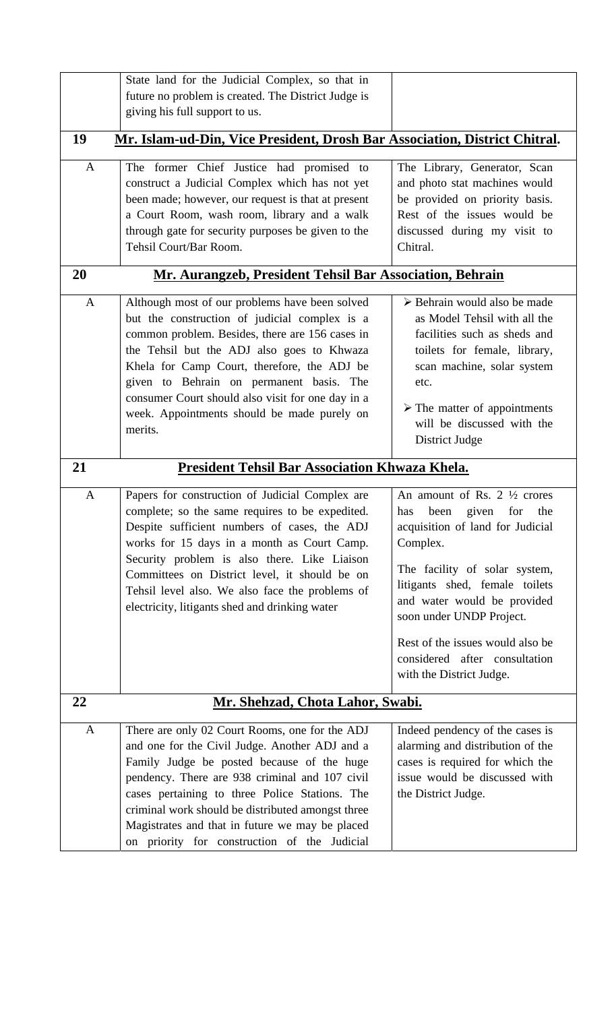|              | State land for the Judicial Complex, so that in<br>future no problem is created. The District Judge is                                                                                                                                                                                                                                                                                                     |                                                                                                                                                                                                                                                                                                                                                             |
|--------------|------------------------------------------------------------------------------------------------------------------------------------------------------------------------------------------------------------------------------------------------------------------------------------------------------------------------------------------------------------------------------------------------------------|-------------------------------------------------------------------------------------------------------------------------------------------------------------------------------------------------------------------------------------------------------------------------------------------------------------------------------------------------------------|
|              | giving his full support to us.                                                                                                                                                                                                                                                                                                                                                                             |                                                                                                                                                                                                                                                                                                                                                             |
| 19           | Mr. Islam-ud-Din, Vice President, Drosh Bar Association, District Chitral.                                                                                                                                                                                                                                                                                                                                 |                                                                                                                                                                                                                                                                                                                                                             |
| $\mathbf{A}$ | The former Chief Justice had promised to<br>construct a Judicial Complex which has not yet<br>been made; however, our request is that at present<br>a Court Room, wash room, library and a walk<br>through gate for security purposes be given to the<br>Tehsil Court/Bar Room.                                                                                                                            | The Library, Generator, Scan<br>and photo stat machines would<br>be provided on priority basis.<br>Rest of the issues would be<br>discussed during my visit to<br>Chitral.                                                                                                                                                                                  |
| 20           | Mr. Aurangzeb, President Tehsil Bar Association, Behrain                                                                                                                                                                                                                                                                                                                                                   |                                                                                                                                                                                                                                                                                                                                                             |
| $\mathbf{A}$ | Although most of our problems have been solved<br>but the construction of judicial complex is a<br>common problem. Besides, there are 156 cases in<br>the Tehsil but the ADJ also goes to Khwaza<br>Khela for Camp Court, therefore, the ADJ be<br>given to Behrain on permanent basis. The<br>consumer Court should also visit for one day in a<br>week. Appointments should be made purely on<br>merits. | $\triangleright$ Behrain would also be made<br>as Model Tehsil with all the<br>facilities such as sheds and<br>toilets for female, library,<br>scan machine, solar system<br>etc.<br>$\triangleright$ The matter of appointments<br>will be discussed with the<br>District Judge                                                                            |
| 21           | President Tehsil Bar Association Khwaza Khela.                                                                                                                                                                                                                                                                                                                                                             |                                                                                                                                                                                                                                                                                                                                                             |
| $\mathbf{A}$ | Papers for construction of Judicial Complex are<br>complete; so the same requires to be expedited.<br>Despite sufficient numbers of cases, the ADJ<br>works for 15 days in a month as Court Camp.<br>Security problem is also there. Like Liaison<br>Committees on District level, it should be on<br>Tehsil level also. We also face the problems of<br>electricity, litigants shed and drinking water    | An amount of Rs. $2\frac{1}{2}$ crores<br>has<br>been<br>given<br>for<br>the<br>acquisition of land for Judicial<br>Complex.<br>The facility of solar system,<br>litigants shed, female toilets<br>and water would be provided<br>soon under UNDP Project.<br>Rest of the issues would also be<br>considered after consultation<br>with the District Judge. |
| 22           | Mr. Shehzad, Chota Lahor, Swabi.                                                                                                                                                                                                                                                                                                                                                                           |                                                                                                                                                                                                                                                                                                                                                             |
| $\mathbf{A}$ | There are only 02 Court Rooms, one for the ADJ<br>and one for the Civil Judge. Another ADJ and a<br>Family Judge be posted because of the huge<br>pendency. There are 938 criminal and 107 civil<br>cases pertaining to three Police Stations. The<br>criminal work should be distributed amongst three<br>Magistrates and that in future we may be placed<br>on priority for construction of the Judicial | Indeed pendency of the cases is<br>alarming and distribution of the<br>cases is required for which the<br>issue would be discussed with<br>the District Judge.                                                                                                                                                                                              |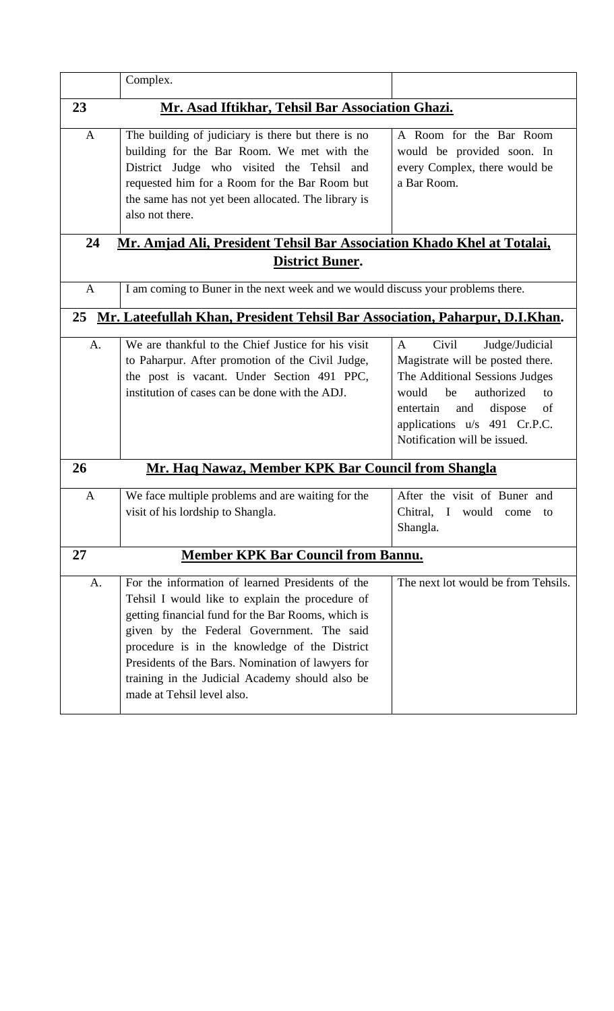|              | Complex.                                                                                                                                                                                                                                                                                                                                                                                      |                                                                                                                                                                                                                                            |
|--------------|-----------------------------------------------------------------------------------------------------------------------------------------------------------------------------------------------------------------------------------------------------------------------------------------------------------------------------------------------------------------------------------------------|--------------------------------------------------------------------------------------------------------------------------------------------------------------------------------------------------------------------------------------------|
| 23           | Mr. Asad Iftikhar, Tehsil Bar Association Ghazi.                                                                                                                                                                                                                                                                                                                                              |                                                                                                                                                                                                                                            |
| $\mathbf{A}$ | The building of judiciary is there but there is no<br>building for the Bar Room. We met with the<br>District Judge who visited the Tehsil and<br>requested him for a Room for the Bar Room but<br>the same has not yet been allocated. The library is<br>also not there.                                                                                                                      | A Room for the Bar Room<br>would be provided soon. In<br>every Complex, there would be<br>a Bar Room.                                                                                                                                      |
| 24           | Mr. Amjad Ali, President Tehsil Bar Association Khado Khel at Totalai,                                                                                                                                                                                                                                                                                                                        |                                                                                                                                                                                                                                            |
|              | <b>District Buner.</b>                                                                                                                                                                                                                                                                                                                                                                        |                                                                                                                                                                                                                                            |
| $\mathbf{A}$ | I am coming to Buner in the next week and we would discuss your problems there.                                                                                                                                                                                                                                                                                                               |                                                                                                                                                                                                                                            |
| 25           | Mr. Lateefullah Khan, President Tehsil Bar Association, Paharpur, D.I.Khan.                                                                                                                                                                                                                                                                                                                   |                                                                                                                                                                                                                                            |
| A.           | We are thankful to the Chief Justice for his visit<br>to Paharpur. After promotion of the Civil Judge,<br>the post is vacant. Under Section 491 PPC,<br>institution of cases can be done with the ADJ.                                                                                                                                                                                        | Civil<br>Judge/Judicial<br>A<br>Magistrate will be posted there.<br>The Additional Sessions Judges<br>be<br>authorized<br>would<br>to<br>and<br>dispose<br>entertain<br>of<br>applications u/s 491 Cr.P.C.<br>Notification will be issued. |
| 26           | Mr. Haq Nawaz, Member KPK Bar Council from Shangla                                                                                                                                                                                                                                                                                                                                            |                                                                                                                                                                                                                                            |
| A            | We face multiple problems and are waiting for the<br>visit of his lordship to Shangla.                                                                                                                                                                                                                                                                                                        | After the visit of Buner and<br>Chitral, I would come<br>to<br>Shangla.                                                                                                                                                                    |
| 27           | <b>Member KPK Bar Council from Bannu.</b>                                                                                                                                                                                                                                                                                                                                                     |                                                                                                                                                                                                                                            |
| A.           | For the information of learned Presidents of the<br>Tehsil I would like to explain the procedure of<br>getting financial fund for the Bar Rooms, which is<br>given by the Federal Government. The said<br>procedure is in the knowledge of the District<br>Presidents of the Bars. Nomination of lawyers for<br>training in the Judicial Academy should also be<br>made at Tehsil level also. | The next lot would be from Tehsils.                                                                                                                                                                                                        |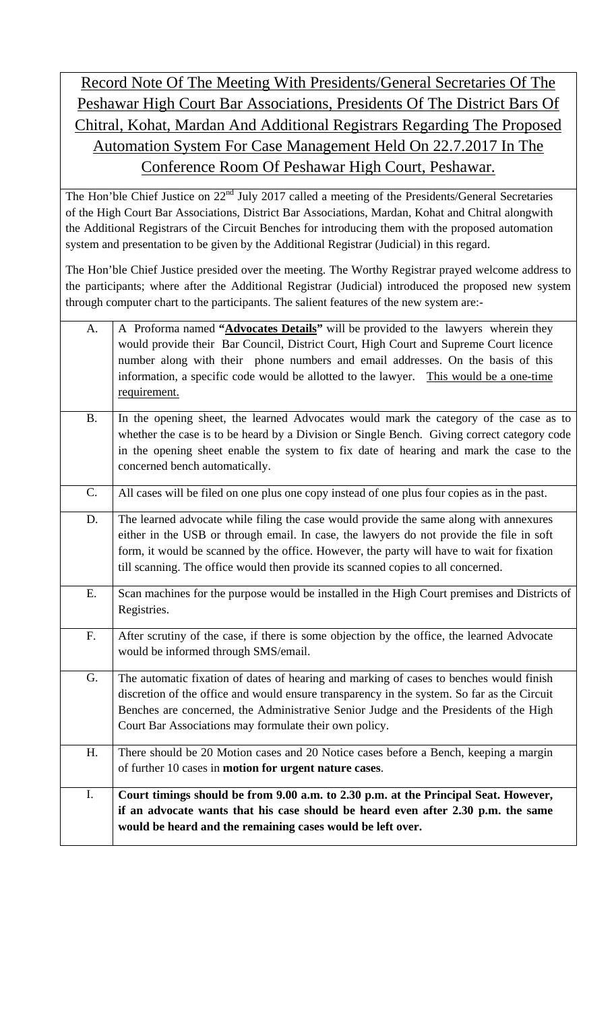## Record Note Of The Meeting With Presidents/General Secretaries Of The Peshawar High Court Bar Associations, Presidents Of The District Bars Of Chitral, Kohat, Mardan And Additional Registrars Regarding The Proposed Automation System For Case Management Held On 22.7.2017 In The Conference Room Of Peshawar High Court, Peshawar.

The Hon'ble Chief Justice on 22<sup>nd</sup> July 2017 called a meeting of the Presidents/General Secretaries of the High Court Bar Associations, District Bar Associations, Mardan, Kohat and Chitral alongwith the Additional Registrars of the Circuit Benches for introducing them with the proposed automation system and presentation to be given by the Additional Registrar (Judicial) in this regard.

The Hon'ble Chief Justice presided over the meeting. The Worthy Registrar prayed welcome address to the participants; where after the Additional Registrar (Judicial) introduced the proposed new system through computer chart to the participants. The salient features of the new system are:-

| A.          | A Proforma named "Advocates Details" will be provided to the lawyers wherein they            |
|-------------|----------------------------------------------------------------------------------------------|
|             | would provide their Bar Council, District Court, High Court and Supreme Court licence        |
|             | number along with their phone numbers and email addresses. On the basis of this              |
|             | information, a specific code would be allotted to the lawyer. This would be a one-time       |
|             | requirement.                                                                                 |
|             |                                                                                              |
| <b>B.</b>   | In the opening sheet, the learned Advocates would mark the category of the case as to        |
|             | whether the case is to be heard by a Division or Single Bench. Giving correct category code  |
|             | in the opening sheet enable the system to fix date of hearing and mark the case to the       |
|             | concerned bench automatically.                                                               |
| $C_{\cdot}$ | All cases will be filed on one plus one copy instead of one plus four copies as in the past. |
|             |                                                                                              |
| D.          | The learned advocate while filing the case would provide the same along with annexures       |
|             | either in the USB or through email. In case, the lawyers do not provide the file in soft     |
|             | form, it would be scanned by the office. However, the party will have to wait for fixation   |
|             | till scanning. The office would then provide its scanned copies to all concerned.            |
| E.          | Scan machines for the purpose would be installed in the High Court premises and Districts of |
|             | Registries.                                                                                  |
|             |                                                                                              |
| F.          | After scrutiny of the case, if there is some objection by the office, the learned Advocate   |
|             | would be informed through SMS/email.                                                         |
| G.          | The automatic fixation of dates of hearing and marking of cases to benches would finish      |
|             | discretion of the office and would ensure transparency in the system. So far as the Circuit  |
|             | Benches are concerned, the Administrative Senior Judge and the Presidents of the High        |
|             | Court Bar Associations may formulate their own policy.                                       |
| H.          | There should be 20 Motion cases and 20 Notice cases before a Bench, keeping a margin         |
|             | of further 10 cases in motion for urgent nature cases.                                       |
|             |                                                                                              |
| I.          | Court timings should be from 9.00 a.m. to 2.30 p.m. at the Principal Seat. However,          |
|             | if an advocate wants that his case should be heard even after 2.30 p.m. the same             |
|             | would be heard and the remaining cases would be left over.                                   |
|             |                                                                                              |